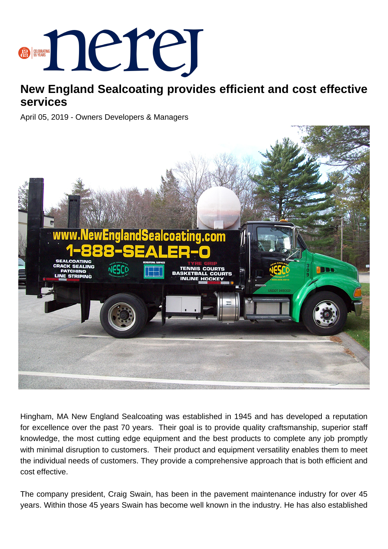

## **New England Sealcoating provides efficient and cost effective services**

April 05, 2019 - Owners Developers & Managers



Hingham, MA New England Sealcoating was established in 1945 and has developed a reputation for excellence over the past 70 years. Their goal is to provide quality craftsmanship, superior staff knowledge, the most cutting edge equipment and the best products to complete any job promptly with minimal disruption to customers. Their product and equipment versatility enables them to meet the individual needs of customers. They provide a comprehensive approach that is both efficient and cost effective.

The company president, Craig Swain, has been in the pavement maintenance industry for over 45 years. Within those 45 years Swain has become well known in the industry. He has also established